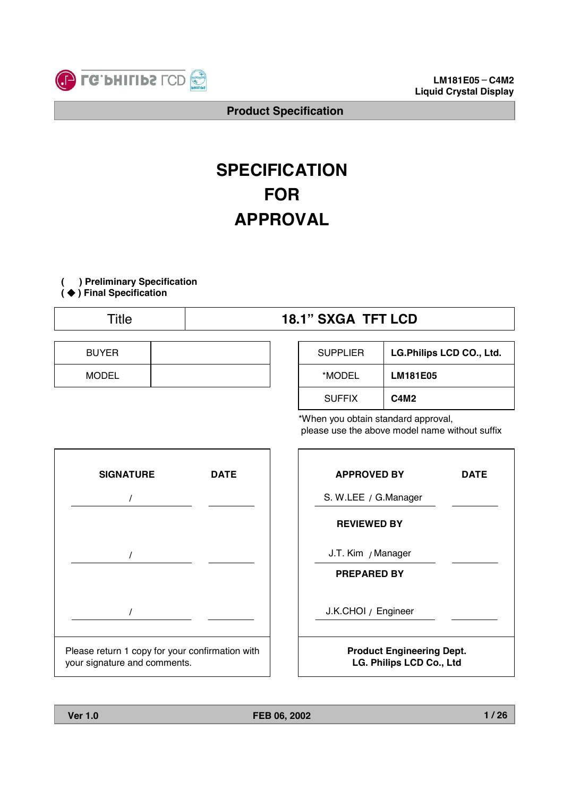

# **SPECIFICATION FOR APPROVAL**

**( ) Preliminary Specification**

**( ) Final Specification**

BUYER

MODEL

## Title **18.1" SXGA TFT LCD**

| <b>SUPPLIER</b> | LG.Philips LCD CO., Ltd.      |
|-----------------|-------------------------------|
| *MODEL          | <b>LM181E05</b>               |
| <b>SUFFIX</b>   | C <sub>4</sub> M <sub>2</sub> |

\*When you obtain standard approval, please use the above model name without suffix



| <b>APPROVED BY</b>                                           | DATE |
|--------------------------------------------------------------|------|
| S. W.LEE / G.Manager                                         |      |
| <b>REVIEWED BY</b>                                           |      |
| J.T. Kim / Manager                                           |      |
| <b>PREPARED BY</b>                                           |      |
| J.K.CHOI / Engineer                                          |      |
| <b>Product Engineering Dept.</b><br>LG. Philips LCD Co., Ltd |      |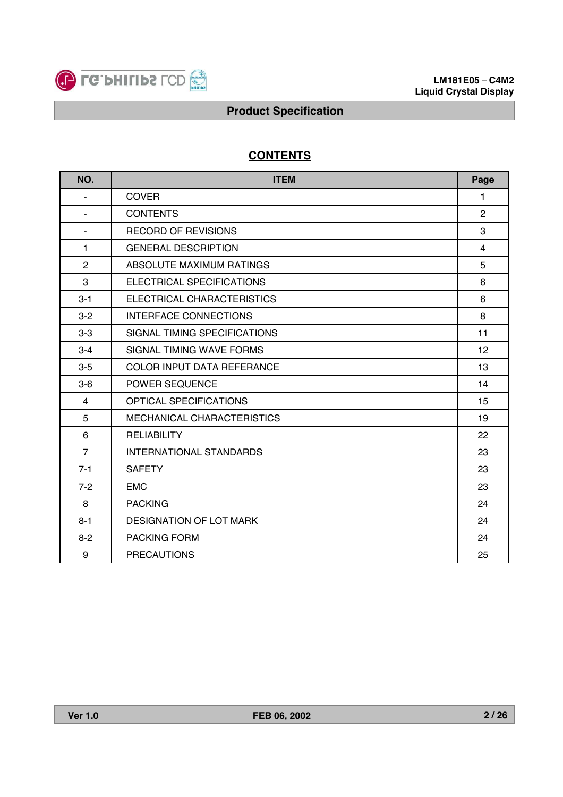

## **CONTENTS**

| NO.            | <b>ITEM</b>                       | Page           |
|----------------|-----------------------------------|----------------|
|                | <b>COVER</b>                      | 1              |
| ٠              | <b>CONTENTS</b>                   | $\overline{2}$ |
| ٠              | <b>RECORD OF REVISIONS</b>        | 3              |
| $\mathbf{1}$   | <b>GENERAL DESCRIPTION</b>        | 4              |
| $\overline{2}$ | ABSOLUTE MAXIMUM RATINGS          | 5              |
| 3              | ELECTRICAL SPECIFICATIONS         | 6              |
| $3 - 1$        | ELECTRICAL CHARACTERISTICS        | 6              |
| $3 - 2$        | <b>INTERFACE CONNECTIONS</b>      | 8              |
| $3-3$          | SIGNAL TIMING SPECIFICATIONS      | 11             |
| $3 - 4$        | SIGNAL TIMING WAVE FORMS          | 12             |
| $3-5$          | <b>COLOR INPUT DATA REFERANCE</b> | 13             |
| $3-6$          | POWER SEQUENCE                    | 14             |
| 4              | <b>OPTICAL SPECIFICATIONS</b>     | 15             |
| 5              | <b>MECHANICAL CHARACTERISTICS</b> | 19             |
| 6              | <b>RELIABILITY</b>                | 22             |
| $\overline{7}$ | <b>INTERNATIONAL STANDARDS</b>    | 23             |
| $7 - 1$        | <b>SAFETY</b>                     | 23             |
| $7 - 2$        | <b>EMC</b>                        | 23             |
| 8              | <b>PACKING</b>                    | 24             |
| $8 - 1$        | DESIGNATION OF LOT MARK           | 24             |
| $8 - 2$        | <b>PACKING FORM</b>               | 24             |
| 9              | <b>PRECAUTIONS</b>                | 25             |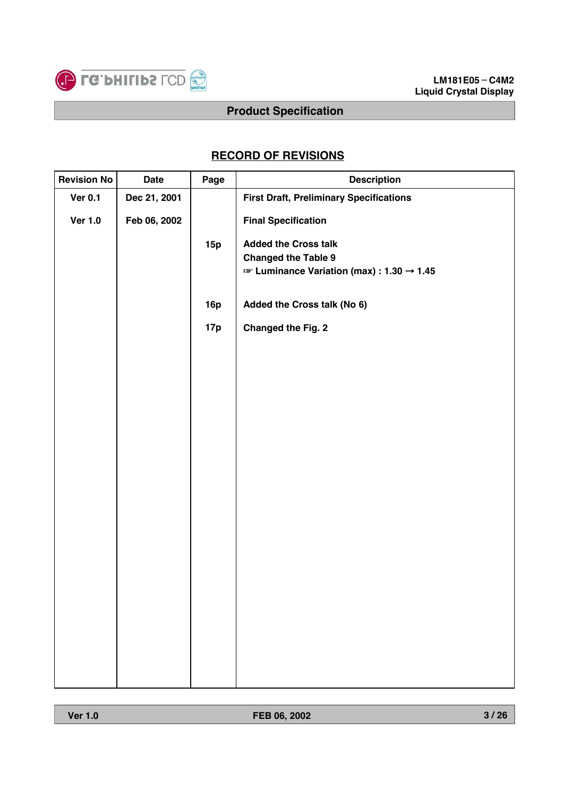

## **RECORD OF REVISIONS**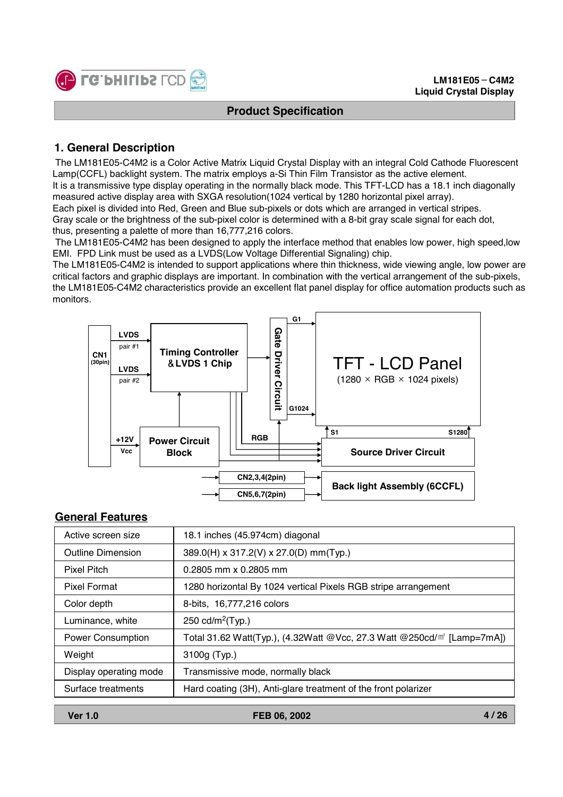

## **1. General Description**

The LM181E05-C4M2 is a Color Active Matrix Liquid Crystal Display with an integral Cold Cathode Fluorescent Lamp(CCFL) backlight system. The matrix employs a-Si Thin Film Transistor as the active element.

It is a transmissive type display operating in the normally black mode. This TFT-LCD has a 18.1 inch diagonally measured active display area with SXGA resolution(1024 vertical by 1280 horizontal pixel array).

Each pixel is divided into Red, Green and Blue sub-pixels or dots which are arranged in vertical stripes. Gray scale or the brightness of the sub-pixel color is determined with a 8-bit gray scale signal for each dot,

thus, presenting a palette of more than 16,777,216 colors.

The LM181E05-C4M2 has been designed to apply the interface method that enables low power, high speed,low EMI. FPD Link must be used as a LVDS(Low Voltage Differential Signaling) chip.

The LM181E05-C4M2 is intended to support applications where thin thickness, wide viewing angle, low power are critical factors and graphic displays are important. In combination with the vertical arrangement of the sub-pixels, the LM181E05-C4M2 characteristics provide an excellent flat panel display for office automation products such as monitors.



## **General Features**

| Active screen size       | 18.1 inches (45.974cm) diagonal                                        |  |  |  |
|--------------------------|------------------------------------------------------------------------|--|--|--|
| <b>Outline Dimension</b> | 389.0(H) x 317.2(V) x 27.0(D) mm(Typ.)                                 |  |  |  |
| <b>Pixel Pitch</b>       | $0.2805$ mm x 0.2805 mm                                                |  |  |  |
| <b>Pixel Format</b>      | 1280 horizontal By 1024 vertical Pixels RGB stripe arrangement         |  |  |  |
| Color depth              | 8-bits, 16,777,216 colors                                              |  |  |  |
| Luminance, white         | 250 cd/m <sup>2</sup> (Typ.)                                           |  |  |  |
| <b>Power Consumption</b> | Total 31.62 Watt(Typ.), (4.32Watt @Vcc, 27.3 Watt @250cd/m [Lamp=7mA]) |  |  |  |
| Weight                   | 3100g (Typ.)                                                           |  |  |  |
| Display operating mode   | Transmissive mode, normally black                                      |  |  |  |
| Surface treatments       | Hard coating (3H), Anti-glare treatment of the front polarizer         |  |  |  |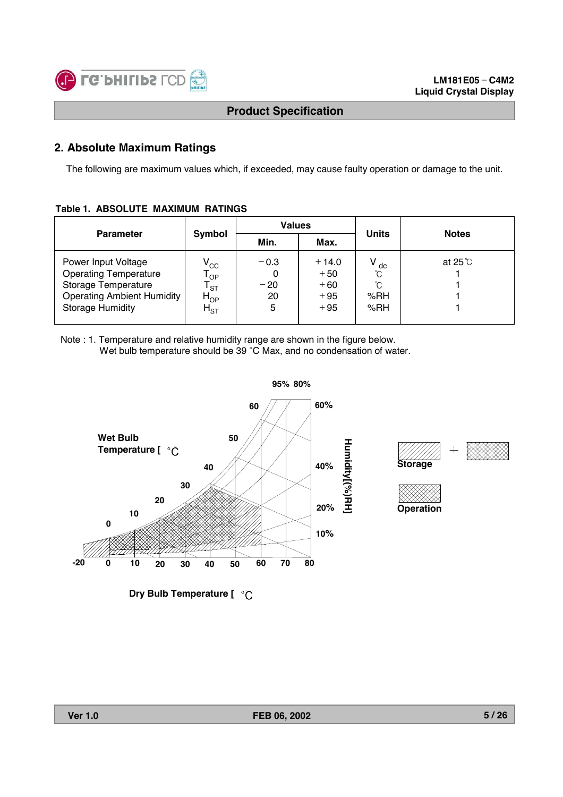

## **2. Absolute Maximum Ratings**

The following are maximum values which, if exceeded, may cause faulty operation or damage to the unit.

#### **Table 1. ABSOLUTE MAXIMUM RATINGS**

| <b>Parameter</b>                                                                                                                           |                                                                                          | <b>Values</b>                   |                                             |                                       | <b>Notes</b>     |  |
|--------------------------------------------------------------------------------------------------------------------------------------------|------------------------------------------------------------------------------------------|---------------------------------|---------------------------------------------|---------------------------------------|------------------|--|
|                                                                                                                                            | Symbol                                                                                   | Min.                            | Max.                                        | <b>Units</b>                          |                  |  |
| Power Input Voltage<br><b>Operating Temperature</b><br>Storage Temperature<br><b>Operating Ambient Humidity</b><br><b>Storage Humidity</b> | $V^{\rm CC}$<br>$\mathsf{T}_{\mathsf{OP}}$<br><b>ST</b><br>$H_{OP}$<br>$H_{\mathrm{ST}}$ | $-0.3$<br>0<br>$-20$<br>20<br>5 | $+14.0$<br>$+50$<br>$+60$<br>$+95$<br>$+95$ | $V_{dc}$<br>ο°<br>ົົ<br>% $RH$<br>%RH | at 25 $^\circ$ C |  |

Note : 1. Temperature and relative humidity range are shown in the figure below. Wet bulb temperature should be 39 °C Max, and no condensation of water.







**Dry Bulb Temperature [**  $^{\circ}$ **C**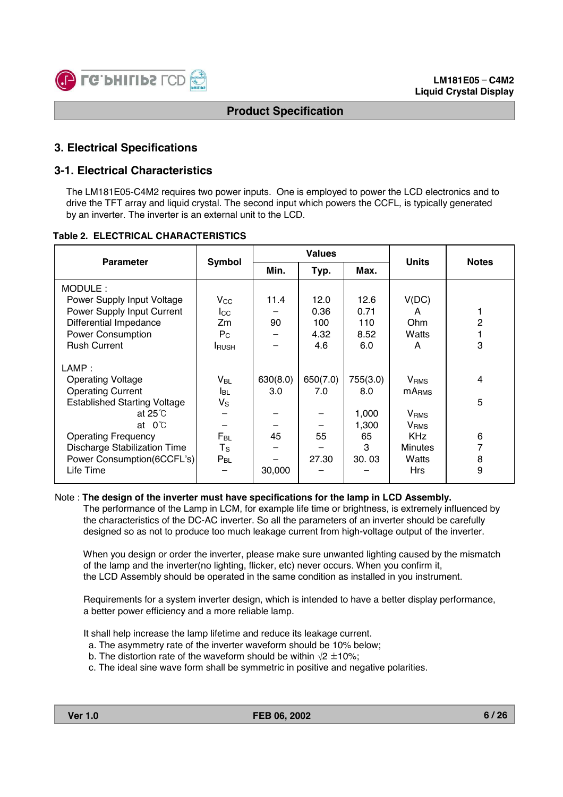

## **3. Electrical Specifications**

#### **3-1. Electrical Characteristics**

The LM181E05-C4M2 requires two power inputs. One is employed to power the LCD electronics and to drive the TFT array and liquid crystal. The second input which powers the CCFL, is typically generated by an inverter. The inverter is an external unit to the LCD.

|  |  |  | <b>Table 2. ELECTRICAL CHARACTERISTICS</b> |
|--|--|--|--------------------------------------------|
|--|--|--|--------------------------------------------|

| <b>Parameter</b>                    | Symbol        | <b>Values</b> |          |          | <b>Units</b>            | <b>Notes</b> |  |
|-------------------------------------|---------------|---------------|----------|----------|-------------------------|--------------|--|
|                                     |               | Min.          | Typ.     | Max.     |                         |              |  |
| MODULE:                             |               |               |          |          |                         |              |  |
| Power Supply Input Voltage          | $V_{\rm CC}$  | 11.4          | 12.0     | 12.6     | V(DC)                   |              |  |
| <b>Power Supply Input Current</b>   | $_{\rm lcc}$  |               | 0.36     | 0.71     | A                       |              |  |
| Differential Impedance              | Zm            | 90            | 100      | 110      | Ohm                     | 2            |  |
| <b>Power Consumption</b>            | $P_{C}$       |               | 4.32     | 8.52     | Watts                   |              |  |
| <b>Rush Current</b>                 | <b>I</b> RUSH |               | 4.6      | 6.0      | A                       | 3            |  |
| LAMP:                               |               |               |          |          |                         |              |  |
| <b>Operating Voltage</b>            | $V_{BL}$      | 630(8.0)      | 650(7.0) | 755(3.0) | <b>V</b> <sub>RMS</sub> | 4            |  |
| <b>Operating Current</b>            | <b>I</b> BL   | 3.0           | 7.0      | 8.0      | mA <sub>RMS</sub>       |              |  |
| <b>Established Starting Voltage</b> | $V_{\rm S}$   |               |          |          |                         | 5            |  |
| at $25^\circ$ C                     |               |               |          | 1,000    | <b>V</b> <sub>RMS</sub> |              |  |
| at 0℃                               |               |               |          | 1,300    | <b>V</b> <sub>RMS</sub> |              |  |
| <b>Operating Frequency</b>          | $F_{BL}$      | 45            | 55       | 65       | <b>KHz</b>              | 6            |  |
| <b>Discharge Stabilization Time</b> | $T_{\rm S}$   |               |          | 3        | <b>Minutes</b>          |              |  |
| Power Consumption(6CCFL's)          | $P_{BL}$      |               | 27.30    | 30.03    | Watts                   | 8            |  |
| Life Time                           |               | 30,000        |          |          | <b>Hrs</b>              | 9            |  |

## Note : **The design of the inverter must have specifications for the lamp in LCD Assembly.**

The performance of the Lamp in LCM, for example life time or brightness, is extremely influenced by the characteristics of the DC-AC inverter. So all the parameters of an inverter should be carefully designed so as not to produce too much leakage current from high-voltage output of the inverter.

When you design or order the inverter, please make sure unwanted lighting caused by the mismatch of the lamp and the inverter(no lighting, flicker, etc) never occurs. When you confirm it, the LCD Assembly should be operated in the same condition as installed in you instrument.

Requirements for a system inverter design, which is intended to have a better display performance, a better power efficiency and a more reliable lamp.

It shall help increase the lamp lifetime and reduce its leakage current.

- a. The asymmetry rate of the inverter waveform should be 10% below;
- b. The distortion rate of the waveform should be within  $\sqrt{2} \pm 10\%$ ;
- c. The ideal sine wave form shall be symmetric in positive and negative polarities.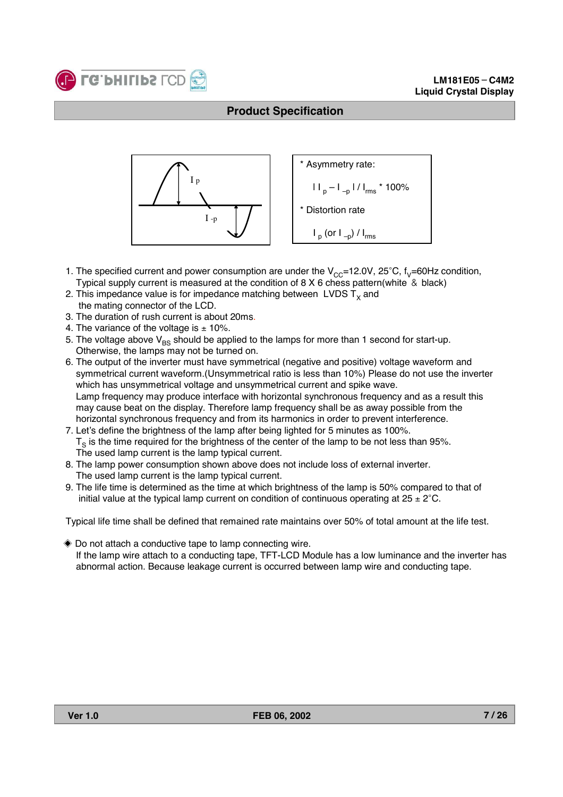



- 1. The specified current and power consumption are under the  $V_{CC}=12.0V$ ,  $25^{\circ}C$ ,  $f_V=60Hz$  condition, Typical supply current is measured at the condition of 8 X 6 chess pattern(white  $\&$  black)
- 2. This impedance value is for impedance matching between LVDS  $T<sub>x</sub>$  and the mating connector of the LCD.
- 3. The duration of rush current is about 20ms.
- 4. The variance of the voltage is  $\pm$  10%.
- 5. The voltage above  $V_{BS}$  should be applied to the lamps for more than 1 second for start-up. Otherwise, the lamps may not be turned on.
- 6. The output of the inverter must have symmetrical (negative and positive) voltage waveform and symmetrical current waveform.(Unsymmetrical ratio is less than 10%) Please do not use the inverter which has unsymmetrical voltage and unsymmetrical current and spike wave. Lamp frequency may produce interface with horizontal synchronous frequency and as a result this may cause beat on the display. Therefore lamp frequency shall be as away possible from the horizontal synchronous frequency and from its harmonics in order to prevent interference.
- 7. Let's define the brightness of the lamp after being lighted for 5 minutes as 100%.
- $T<sub>s</sub>$  is the time required for the brightness of the center of the lamp to be not less than 95%. The used lamp current is the lamp typical current.
- 8. The lamp power consumption shown above does not include loss of external inverter. The used lamp current is the lamp typical current.
- 9. The life time is determined as the time at which brightness of the lamp is 50% compared to that of initial value at the typical lamp current on condition of continuous operating at  $25 \pm 2^{\circ}\text{C}$ .

Typical life time shall be defined that remained rate maintains over 50% of total amount at the life test.

◆ Do not attach a conductive tape to lamp connecting wire. If the lamp wire attach to a conducting tape, TFT-LCD Module has a low luminance and the inverter has abnormal action. Because leakage current is occurred between lamp wire and conducting tape.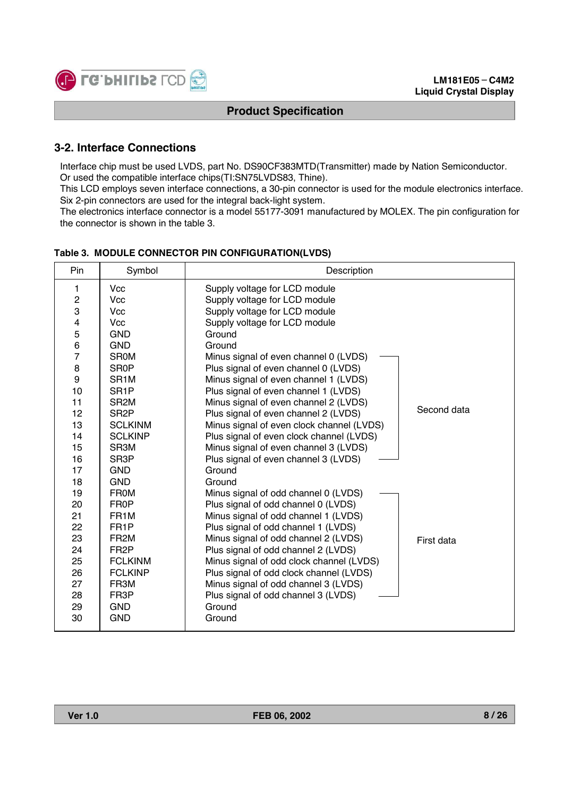

## **3-2. Interface Connections**

Interface chip must be used LVDS, part No. DS90CF383MTD(Transmitter) made by Nation Semiconductor. Or used the compatible interface chips(TI:SN75LVDS83, Thine).

This LCD employs seven interface connections, a 30-pin connector is used for the module electronics interface. Six 2-pin connectors are used for the integral back-light system.

The electronics interface connector is a model 55177-3091 manufactured by MOLEX. The pin configuration for the connector is shown in the table 3.

#### **Table 3. MODULE CONNECTOR PIN CONFIGURATION(LVDS)**

| Pin            | Symbol            | Description                               |             |
|----------------|-------------------|-------------------------------------------|-------------|
| 1              | <b>Vcc</b>        | Supply voltage for LCD module             |             |
| $\overline{c}$ | <b>Vcc</b>        | Supply voltage for LCD module             |             |
| 3              | <b>Vcc</b>        | Supply voltage for LCD module             |             |
| 4              | <b>Vcc</b>        | Supply voltage for LCD module             |             |
| 5              | <b>GND</b>        | Ground                                    |             |
| $\,6$          | <b>GND</b>        | Ground                                    |             |
| $\overline{7}$ | <b>SROM</b>       | Minus signal of even channel 0 (LVDS)     |             |
| 8              | <b>SROP</b>       | Plus signal of even channel 0 (LVDS)      |             |
| 9              | SR <sub>1</sub> M | Minus signal of even channel 1 (LVDS)     |             |
| 10             | SR <sub>1</sub> P | Plus signal of even channel 1 (LVDS)      |             |
| 11             | SR <sub>2M</sub>  | Minus signal of even channel 2 (LVDS)     |             |
| 12             | SR <sub>2</sub> P | Plus signal of even channel 2 (LVDS)      | Second data |
| 13             | <b>SCLKINM</b>    | Minus signal of even clock channel (LVDS) |             |
| 14             | <b>SCLKINP</b>    | Plus signal of even clock channel (LVDS)  |             |
| 15             | SR3M              | Minus signal of even channel 3 (LVDS)     |             |
| 16             | SR <sub>3</sub> P | Plus signal of even channel 3 (LVDS)      |             |
| 17             | <b>GND</b>        | Ground                                    |             |
| 18             | <b>GND</b>        | Ground                                    |             |
| 19             | <b>FROM</b>       | Minus signal of odd channel 0 (LVDS)      |             |
| 20             | <b>FR0P</b>       | Plus signal of odd channel 0 (LVDS)       |             |
| 21             | FR <sub>1</sub> M | Minus signal of odd channel 1 (LVDS)      |             |
| 22             | FR <sub>1</sub> P | Plus signal of odd channel 1 (LVDS)       |             |
| 23             | FR <sub>2</sub> M | Minus signal of odd channel 2 (LVDS)      | First data  |
| 24             | FR <sub>2</sub> P | Plus signal of odd channel 2 (LVDS)       |             |
| 25             | <b>FCLKINM</b>    | Minus signal of odd clock channel (LVDS)  |             |
| 26             | <b>FCLKINP</b>    | Plus signal of odd clock channel (LVDS)   |             |
| 27             | FR3M              | Minus signal of odd channel 3 (LVDS)      |             |
| 28             | FR <sub>3</sub> P | Plus signal of odd channel 3 (LVDS)       |             |
| 29             | <b>GND</b>        | Ground                                    |             |
| 30             | <b>GND</b>        | Ground                                    |             |
|                |                   |                                           |             |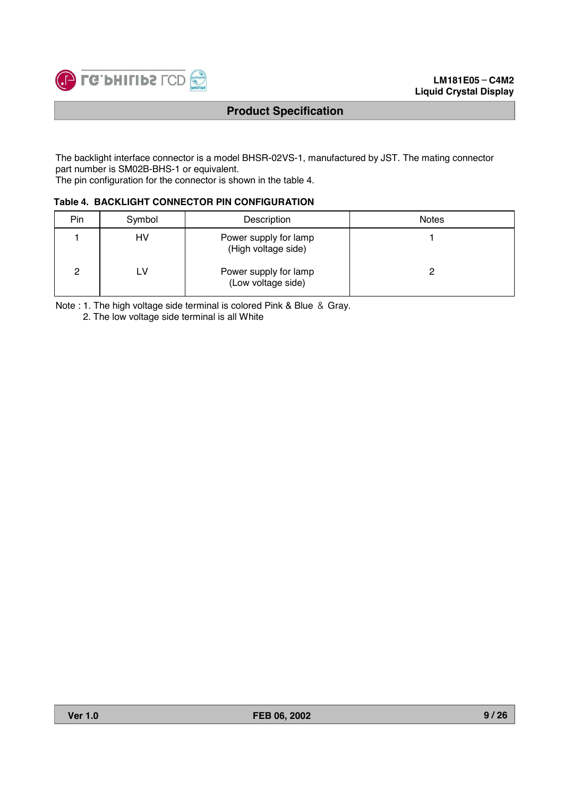

The backlight interface connector is a model BHSR-02VS-1, manufactured by JST. The mating connector part number is SM02B-BHS-1 or equivalent.

The pin configuration for the connector is shown in the table 4.

#### **Table 4. BACKLIGHT CONNECTOR PIN CONFIGURATION**

| Pin | Symbol | Description                                  | <b>Notes</b> |
|-----|--------|----------------------------------------------|--------------|
|     | HV     | Power supply for lamp<br>(High voltage side) |              |
| 2   | LV     | Power supply for lamp<br>(Low voltage side)  |              |

Note : 1. The high voltage side terminal is colored Pink & Blue & Gray.

2. The low voltage side terminal is all White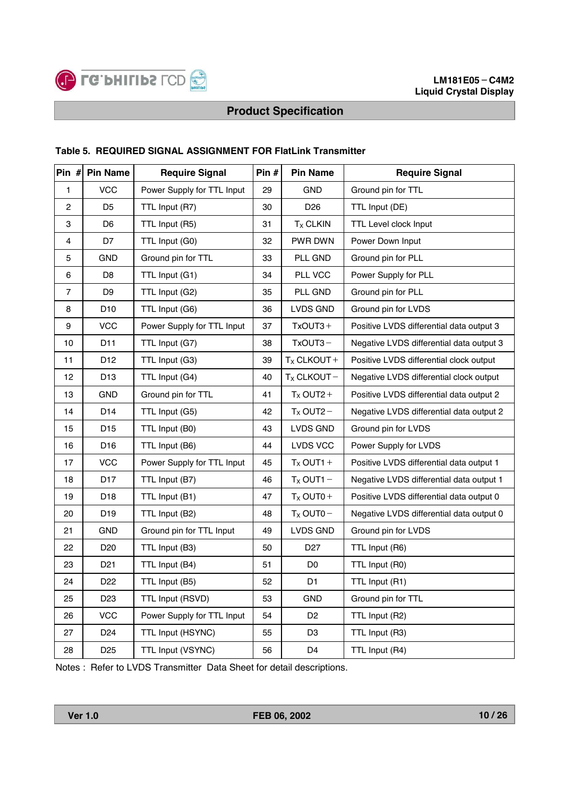

#### **LM181E05 - C4M2 Liquid Crystal Display**

## **Product Specification**

| Pin#                    | <b>Pin Name</b> | <b>Require Signal</b>      | Pin $#$ | <b>Pin Name</b>         | <b>Require Signal</b>                    |
|-------------------------|-----------------|----------------------------|---------|-------------------------|------------------------------------------|
| $\mathbf{1}$            | <b>VCC</b>      | Power Supply for TTL Input | 29      | <b>GND</b>              | Ground pin for TTL                       |
| $\overline{c}$          | D <sub>5</sub>  | TTL Input (R7)             | 30      | D <sub>26</sub>         | TTL Input (DE)                           |
| 3                       | D <sub>6</sub>  | TTL Input (R5)             | 31      | T <sub>x</sub> CLKIN    | TTL Level clock Input                    |
| $\overline{\mathbf{4}}$ | D7              | TTL Input (G0)             | 32      | PWR DWN                 | Power Down Input                         |
| 5                       | <b>GND</b>      | Ground pin for TTL         | 33      | PLL GND                 | Ground pin for PLL                       |
| 6                       | D <sub>8</sub>  | TTL Input (G1)             | 34      | PLL VCC                 | Power Supply for PLL                     |
| $\overline{7}$          | D <sub>9</sub>  | TTL Input (G2)             | 35      | PLL GND                 | Ground pin for PLL                       |
| 8                       | D10             | TTL Input (G6)             | 36      | LVDS GND                | Ground pin for LVDS                      |
| 9                       | <b>VCC</b>      | Power Supply for TTL Input | 37      | $TxOUT3 +$              | Positive LVDS differential data output 3 |
| 10                      | D <sub>11</sub> | TTL Input (G7)             | 38      | $TxOUT3 -$              | Negative LVDS differential data output 3 |
| 11                      | D <sub>12</sub> | TTL Input (G3)             | 39      | $T_{\text{X}}$ CLKOUT + | Positive LVDS differential clock output  |
| 12                      | D <sub>13</sub> | TTL Input (G4)             | 40      | $T_X$ CLKOUT-           | Negative LVDS differential clock output  |
| 13                      | GND             | Ground pin for TTL         | 41      | $T_X$ OUT2+             | Positive LVDS differential data output 2 |
| 14                      | D <sub>14</sub> | TTL Input (G5)             | 42      | $T_X$ OUT2-             | Negative LVDS differential data output 2 |
| 15                      | D <sub>15</sub> | TTL Input (B0)             | 43      | LVDS GND                | Ground pin for LVDS                      |
| 16                      | D <sub>16</sub> | TTL Input (B6)             | 44      | <b>LVDS VCC</b>         | Power Supply for LVDS                    |
| 17                      | <b>VCC</b>      | Power Supply for TTL Input | 45      | $T_X$ OUT1+             | Positive LVDS differential data output 1 |
| 18                      | D <sub>17</sub> | TTL Input (B7)             | 46      | $T_X$ OUT1 -            | Negative LVDS differential data output 1 |
| 19                      | D <sub>18</sub> | TTL Input (B1)             | 47      | $T_X$ OUT0+             | Positive LVDS differential data output 0 |
| 20                      | D19             | TTL Input (B2)             | 48      | $T_X$ OUT0 $-$          | Negative LVDS differential data output 0 |
| 21                      | <b>GND</b>      | Ground pin for TTL Input   | 49      | LVDS GND                | Ground pin for LVDS                      |
| 22                      | D <sub>20</sub> | TTL Input (B3)             | 50      | D <sub>27</sub>         | TTL Input (R6)                           |
| 23                      | D <sub>21</sub> | TTL Input (B4)             | 51      | D <sub>0</sub>          | TTL Input (R0)                           |
| 24                      | D <sub>22</sub> | TTL Input (B5)             | 52      | D <sub>1</sub>          | TTL Input (R1)                           |
| 25                      | D <sub>23</sub> | TTL Input (RSVD)           | 53      | GND                     | Ground pin for TTL                       |
| 26                      | <b>VCC</b>      | Power Supply for TTL Input | 54      | D <sub>2</sub>          | TTL Input (R2)                           |
| 27                      | D <sub>24</sub> | TTL Input (HSYNC)          | 55      | D <sub>3</sub>          | TTL Input (R3)                           |
| 28                      | D <sub>25</sub> | TTL Input (VSYNC)          | 56      | D <sub>4</sub>          | TTL Input (R4)                           |

#### **Table 5. REQUIRED SIGNAL ASSIGNMENT FOR FlatLink Transmitter**

Notes : Refer to LVDS Transmitter Data Sheet for detail descriptions.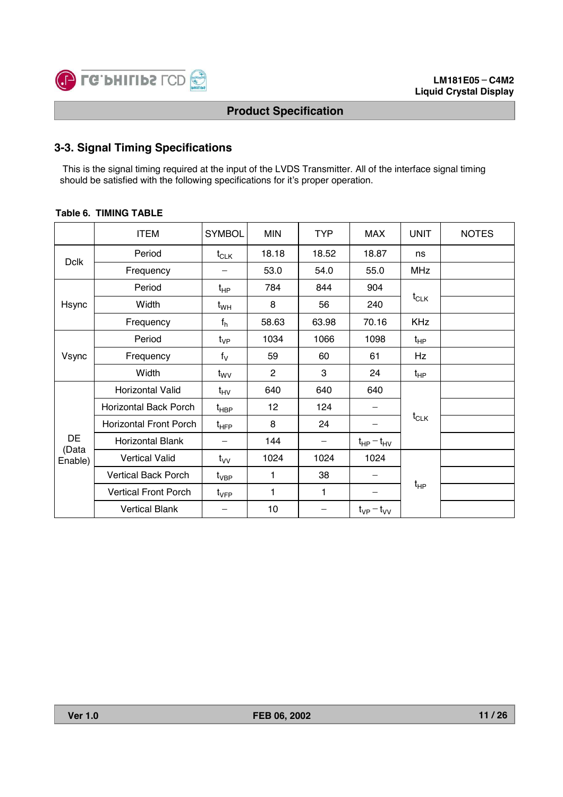

## **3-3. Signal Timing Specifications**

This is the signal timing required at the input of the LVDS Transmitter. All of the interface signal timing should be satisfied with the following specifications for it's proper operation.

## **Table 6. TIMING TABLE**

|                             | <b>ITEM</b>                   | <b>SYMBOL</b>      | <b>MIN</b> | <b>TYP</b> | <b>MAX</b>        | <b>UNIT</b> | <b>NOTES</b> |
|-----------------------------|-------------------------------|--------------------|------------|------------|-------------------|-------------|--------------|
| <b>Dclk</b>                 | Period                        |                    | 18.18      | 18.52      | 18.87             | ns          |              |
|                             | Frequency                     |                    | 53.0       | 54.0       | 55.0              | <b>MHz</b>  |              |
|                             | Period                        | $t_{HP}$           | 784        | 844        | 904               |             |              |
| Hsync                       | Width                         | $t_{WH}$           | 8          | 56         | 240               | $t_{CLK}$   |              |
|                             | Frequency                     | $f_h$              | 58.63      | 63.98      | 70.16             | <b>KHz</b>  |              |
|                             | Period                        | $t_{VP}$           | 1034       | 1066       | 1098              | $t_{HP}$    |              |
| Vsync                       | Frequency                     | $f_V$              | 59         | 60         | 61                | Hz          |              |
|                             | Width                         | $t_{\rm WV}$       | 2          | 3          | 24                | $t_{HP}$    |              |
|                             | <b>Horizontal Valid</b>       | $t_{HV}$           | 640        | 640        | 640               |             |              |
|                             | Horizontal Back Porch         | $t_{\sf HBP}$      | 12         | 124        |                   |             |              |
|                             | <b>Horizontal Front Porch</b> | $t$ HFP            | 8          | 24         |                   | $t_{CLK}$   |              |
| DE                          | <b>Horizontal Blank</b>       |                    | 144        |            | $t_{HP} - t_{HV}$ |             |              |
| (Data<br>Enable)            | <b>Vertical Valid</b>         | $t_{\rm VV}$       | 1024       | 1024       | 1024              |             |              |
|                             | <b>Vertical Back Porch</b>    | $t_{\mathsf{VBP}}$ | 1          | 38         |                   |             |              |
| <b>Vertical Front Porch</b> |                               | $t_{\sf VFP}$      | 1          | 1          |                   | $t_{HP}$    |              |
|                             | <b>Vertical Blank</b>         |                    | 10         |            | $t_{VP} - t_{VV}$ |             |              |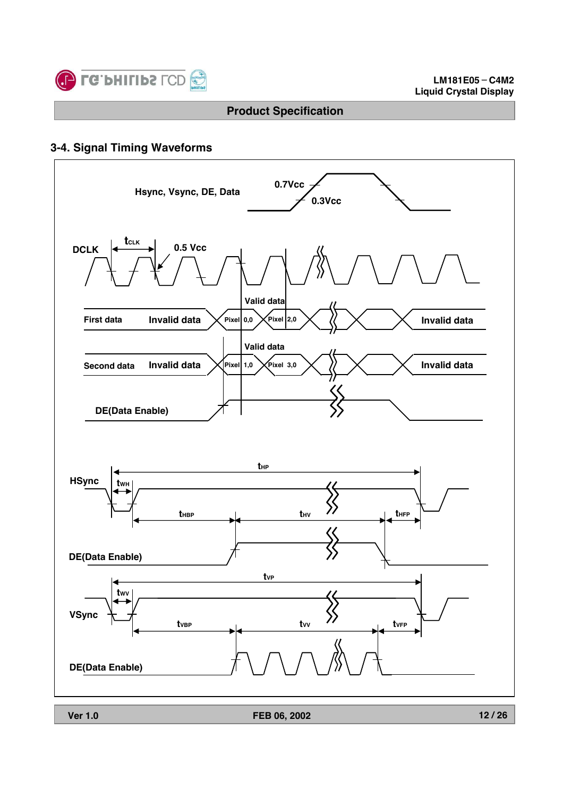

## **3-4. Signal Timing Waveforms**

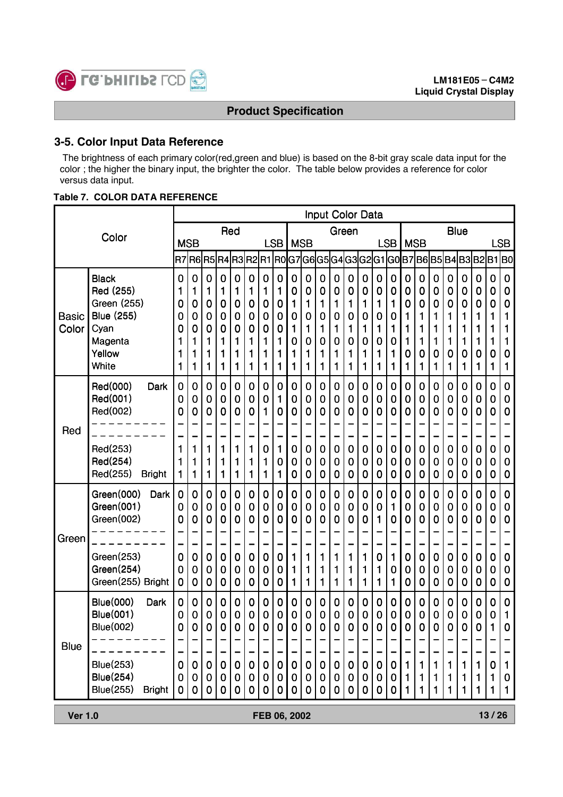

### **3-5. Color Input Data Reference**

The brightness of each primary color(red,green and blue) is based on the 8-bit gray scale data input for the color ; the higher the binary input, the brighter the color. The table below provides a reference for color versus data input.

#### **Table 7. COLOR DATA REFERENCE**

|                |                                         |               |                   |                          |                                 |                                 |                              |                         |                                  |                          |                                 |                      | Input Color Data  |                       |                       |                                 |                      |        |                   |                   |                   |                   |                                                                      |              |                                      |
|----------------|-----------------------------------------|---------------|-------------------|--------------------------|---------------------------------|---------------------------------|------------------------------|-------------------------|----------------------------------|--------------------------|---------------------------------|----------------------|-------------------|-----------------------|-----------------------|---------------------------------|----------------------|--------|-------------------|-------------------|-------------------|-------------------|----------------------------------------------------------------------|--------------|--------------------------------------|
|                | Color                                   |               |                   |                          | Red                             |                                 |                              |                         |                                  |                          |                                 |                      | Green             |                       |                       |                                 |                      |        |                   |                   |                   | <b>Blue</b>       |                                                                      |              |                                      |
|                |                                         | R7            | <b>MSB</b>        |                          |                                 |                                 |                              |                         | <b>LSB</b>                       |                          | <b>MSB</b>                      |                      |                   |                       |                       |                                 | <b>LSB</b>           |        | <b>MSB</b>        |                   |                   |                   | R6 R5 R4 R3 R2 R1 R0 G7 G6 G5 G4 G3 G2 G1 G0 B7 B6 B5 B4 B3 B2 B1 B0 |              | <b>LSB</b>                           |
|                | <b>Black</b>                            | $\mathbf 0$   | $\mathbf 0$       | $\mathbf 0$              | $\bf{0}$                        |                                 | $\mathbf 0$                  |                         |                                  | $\mathbf 0$              |                                 | $\bf{0}$             | 0                 | $\overline{0}$        |                       |                                 |                      | 0      |                   | $\mathbf 0$       |                   |                   | $\mathbf 0$                                                          |              | $\bf{0}$                             |
|                | Red (255)                               | 1             | 1                 | 1                        | 1                               | 0<br>1                          | 1                            | $\bf{0}$<br>1           | $\mathbf 0$<br>1                 | 0                        | $\bf{0}$<br>0                   | 0                    | 0                 | 0                     | $\mathbf 0$<br>0      | $\mathbf 0$<br>0                | 0<br>0               | 0      | $\bf{0}$<br>0     | 0                 | 0<br>0            | $\bf{0}$<br>0     | 0                                                                    | 0<br>0       | $\mathbf 0$                          |
|                | Green (255)                             | 0             | 0                 | $\mathbf 0$              | 0                               | 0                               | 0                            | 0                       | 0                                | 1                        | 1                               | 1                    | 1                 | 1                     | 1                     | 1                               | 1                    | 0      | 0                 | 0                 | 0                 | 0                 | 0                                                                    | 0            | $\mathbf 0$                          |
| Basic<br>Color | <b>Blue (255)</b><br>Cyan               | 0<br>0        | 0<br>0            | 0<br>0                   | $\mathbf 0$<br>0                | $\boldsymbol{0}$<br>0           | 0<br>0                       | 0<br>0                  | 0<br>0                           | 0<br>1                   | 0<br>1                          | 0<br>1               | 0                 | 0<br>1                | 0<br>1                | $\boldsymbol{0}$<br>1           | 0<br>1               | 1<br>1 | 1<br>1            | 1<br>1            | 1<br>1            | 1<br>1            | 1                                                                    | 1<br>1       | 1<br>1                               |
|                | Magenta                                 |               |                   | 1                        | 1                               | 1                               | 1                            | 1                       | 1                                | 0                        | 0                               | 0                    | 0                 | 0                     | 0                     | 0                               | 0                    | 1      | 1                 | 1                 | 1                 | 1                 |                                                                      | 1            | 1                                    |
|                | Yellow<br>White                         | 1<br>1        | 1<br>1            | 1<br>1                   | 1<br>1                          | 1<br>1                          | 1<br>1                       | 1<br>1                  | 1<br>1                           | 1<br>1                   | 1<br>1                          | 1<br>1               | 1                 | 1<br>1                | 1<br>1                | 1<br>1                          | 1<br>1               | 0<br>1 | 0<br>1            | 0<br>1            | 0<br>1            | 0<br>1            | 0                                                                    | 0<br>1       | 0<br>1                               |
|                | Red(000)                                |               | $\mathbf 0$       | $\mathbf 0$              |                                 |                                 |                              |                         |                                  | $\mathbf 0$              |                                 |                      |                   |                       |                       |                                 |                      | 0      |                   | $\mathbf 0$       |                   |                   |                                                                      |              |                                      |
|                | Dark<br>Red(001)                        | $\bf{0}$<br>0 | 0                 | 0                        | $\bf{0}$<br>0                   | $\bf{0}$<br>0                   | 0<br>0                       | $\bf{0}$<br>0           | $\mathbf 0$<br>1                 | 0                        | $\bf{0}$<br>0                   | $\bf{0}$<br>0        | 0<br>0            | 0<br>0                | $\mathbf 0$<br>0      | $\boldsymbol{0}$<br>0           | 0<br>0               | 0      | $\bf{0}$<br>0     | 0                 | 0<br>0            | 0<br>0            | 0<br>0                                                               | 0<br>0       | $\bf{0}$<br>$\bf{0}$                 |
|                | Red(002)                                | 0             | 0                 | 0                        | $\bf{0}$                        | $\bf{0}$                        | 0                            | 1                       | 0                                | $\mathbf 0$              | 0                               | $\bf{0}$             | 0                 | $\mathbf 0$           | $\mathbf 0$           | $\boldsymbol{0}$                | 0                    | 0      | $\bf{0}$          | 0                 | 0                 | 0                 | 0                                                                    | 0            | $\mathbf 0$                          |
| Red            |                                         |               |                   |                          |                                 |                                 |                              |                         |                                  |                          |                                 |                      |                   |                       |                       |                                 |                      |        |                   |                   |                   |                   |                                                                      |              |                                      |
|                | Red(253)                                | 1             | 1                 | 1                        | 1                               | 1                               | 1                            | 0                       | 1                                | 0                        | 0                               | $\bf{0}$             | 0                 | 0                     | $\mathbf 0$           | 0                               | 0                    | 0      | $\bf{0}$          | 0                 | 0                 | 0                 | 0                                                                    | 0            | $\boldsymbol{0}$                     |
|                | Red(254)<br>Red(255)<br><b>Bright</b>   | 1<br>1        | 1<br>1            | 1<br>1                   | 1<br>1                          | 1<br>1                          | 1<br>1                       | 1<br>1                  | 0<br>1                           | 0<br>0                   | 0<br>0                          | 0<br>0               | 0<br>0            | 0<br>0                | $\boldsymbol{0}$<br>0 | $\bf{0}$<br>0                   | 0<br>0               | 0<br>0 | 0<br>0            | 0<br>0            | 0<br>0            | 0<br>0            | 0<br>0                                                               | 0<br>0       | $\boldsymbol{0}$<br>$\mathbf 0$      |
|                | Green(000)<br>Dark                      | $\mathbf 0$   | 0                 | 0                        | $\mathbf 0$                     | 0                               | 0                            | 0                       | 0                                | 0                        | 0                               | 0                    | 0                 | 0                     | 0                     | 0                               | 0                    | 0      | $\mathbf 0$       | 0                 | 0                 | 0                 | 0                                                                    | 0            | $\bf{0}$                             |
|                | Green(001)                              | 0             | 0                 | 0                        | 0                               | 0                               | 0                            | 0                       | 0                                | 0                        | 0                               | 0                    | 0                 | 0                     | 0                     | 0                               | 1                    | 0      | 0                 | 0                 | 0                 | 0                 | 0                                                                    | 0            | $\bf{0}$                             |
|                | Green(002)                              | 0             | 0                 | 0                        | $\mathbf 0$                     | 0                               | 0                            | 0                       | 0                                | 0                        | 0                               | $\mathbf 0$          | 0                 | 0                     | $\Omega$              | 1                               | 0                    | 0      | 0                 | 0                 | 0                 | 0                 | 0                                                                    | 0            | $\overline{0}$                       |
| Green          |                                         |               |                   |                          |                                 |                                 |                              |                         |                                  |                          |                                 |                      |                   |                       |                       |                                 |                      |        |                   |                   |                   | -                 |                                                                      |              |                                      |
|                | Green(253)<br>Green(254)                | 0             | 0                 | $\bf{0}$                 | $\boldsymbol{0}$<br>$\mathbf 0$ | 0                               | 0                            | 0                       | 0                                | 1                        | 1                               | 1                    | 1                 | 1                     | 1                     | 0                               | 1                    | 0      | $\bf{0}$          | 0                 | 0                 | 0                 | 0                                                                    | 0            | $\boldsymbol{0}$<br>$\boldsymbol{0}$ |
|                | Green(255) Bright                       | 0<br>0        | 0<br>0            | 0<br>0                   | $\mathbf 0$                     | $\boldsymbol{0}$<br>0           | 0<br>0                       | 0<br>0                  | 0<br>0                           | 1<br>1                   | 1<br>1                          | 1<br>1               | 1                 | 1<br>1                | 1<br>1                | 1<br>1                          | 0<br>1               | 0<br>0 | 0<br>0            | 0<br>0            | 0<br>0            | 0<br>0            | 0<br>0                                                               | 0<br>0       | $\mathbf 0$                          |
|                | <b>Blue(000)</b><br>Dark                | 0             | 0                 | $\mathbf 0$              | $\mathbf 0$                     | 0                               | 0                            | 0                       | 0                                | 0                        | 0                               | 0                    | 0                 | 0                     | 0                     | 0                               | 0                    | 0      | 0                 | 0                 | 0                 | 0                 | 0                                                                    | 0            | $\mathbf 0$                          |
|                | <b>Blue(001)</b>                        | 0             | O                 | 0                        | 0                               | 0                               | 0                            | 0                       | 0                                | 0                        | 0                               | 0                    | 0                 | 0                     | 0                     | 0                               | 0                    | 0      | 0                 | 0                 | 0                 | 0                 | 0                                                                    | 0            | 1                                    |
|                | <b>Blue(002)</b>                        | 0             | O                 | 0                        | 0                               | 0                               | 0                            | 0                       | 0                                | 0                        | 0                               | $\bf{0}$             | 0                 | 0                     | $\mathbf 0$           | $\boldsymbol{0}$                | 0                    | 0      | 0                 | 0                 | 0                 | 0                 | 0                                                                    | 1            | $\mathbf 0$                          |
| <b>Blue</b>    |                                         |               |                   |                          |                                 |                                 |                              |                         |                                  |                          |                                 |                      |                   |                       |                       |                                 |                      |        |                   |                   |                   |                   |                                                                      |              |                                      |
|                | <b>Blue(253)</b><br><b>Blue(254)</b>    | $\bf{0}$<br>0 | $\mathbf{0}$<br>0 | $\pmb{0}$<br>$\mathbf 0$ | $\pmb{0}$<br>$\mathbf 0$        | $\mathbf 0$<br>$\boldsymbol{0}$ | $\bf{0}$<br>$\boldsymbol{0}$ | $\mathbf 0$<br>$\bf{0}$ | $\mathbf{0}$<br>$\boldsymbol{0}$ | $\mathbf 0$<br>$\pmb{0}$ | $\boldsymbol{0}$<br>$\mathbf 0$ | $\bf{0}$<br>$\bf{0}$ | $\mathbf{0}$<br>0 | $\boldsymbol{0}$<br>0 | $\mathbf 0$<br>0      | $\mathbf 0$<br>$\boldsymbol{0}$ | $\bf{0}$<br>$\bf{0}$ | 1<br>1 | $\mathbf{1}$<br>1 | $\mathbf{1}$<br>1 | $\mathbf{1}$<br>1 | $\mathbf{1}$<br>1 | 1<br>1                                                               | 0<br>1       | 1<br>$\mathbf 0$                     |
|                | <b>Blue(255)</b><br><b>Bright</b>       | 0             | 0                 | 0                        | $\pmb{0}$                       | 0                               | 0                            | 0                       | $\boldsymbol{0}$                 | $\mathbf 0$              | $\boldsymbol{0}$                | $\mathbf 0$          | 0                 | 0                     | 0                     | 0                               | $\boldsymbol{0}$     | 1      | 1                 | 1                 | 1                 | 1                 | 1                                                                    | $\mathbf{1}$ | $\mathbf{1}$                         |
|                | 13/26<br><b>Ver 1.0</b><br>FEB 06, 2002 |               |                   |                          |                                 |                                 |                              |                         |                                  |                          |                                 |                      |                   |                       |                       |                                 |                      |        |                   |                   |                   |                   |                                                                      |              |                                      |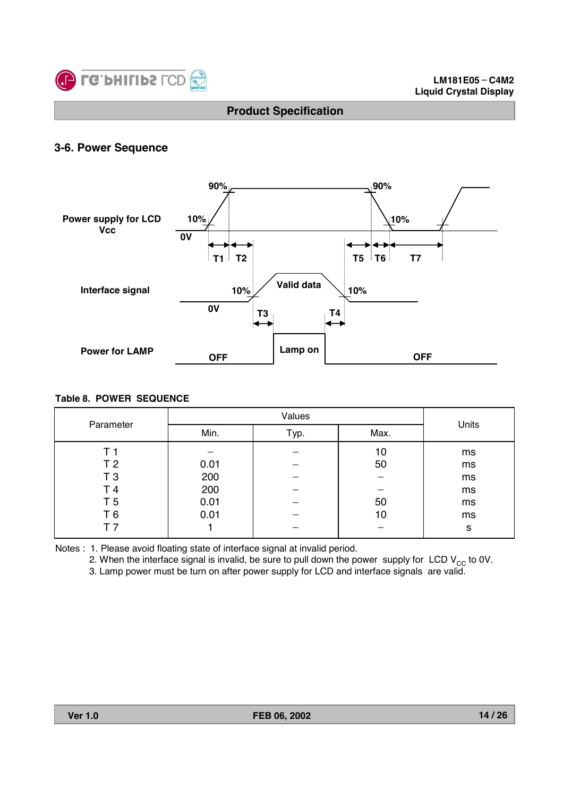

## **3-6. Power Sequence**



#### **Table 8. POWER SEQUENCE**

| Parameter      |      | Units |    |    |  |
|----------------|------|-------|----|----|--|
|                | Min. | Max.  |    |    |  |
| T 1            |      |       | 10 | ms |  |
| T <sub>2</sub> | 0.01 |       | 50 | ms |  |
| T <sub>3</sub> | 200  |       |    | ms |  |
| T 4            | 200  |       |    | ms |  |
| T <sub>5</sub> | 0.01 |       | 50 | ms |  |
| T <sub>6</sub> | 0.01 |       | 10 | ms |  |
| T 7            |      |       |    | S  |  |

Notes : 1. Please avoid floating state of interface signal at invalid period.

2. When the interface signal is invalid, be sure to pull down the power supply for LCD  $V_{CC}$  to 0V.

3. Lamp power must be turn on after power supply for LCD and interface signals are valid.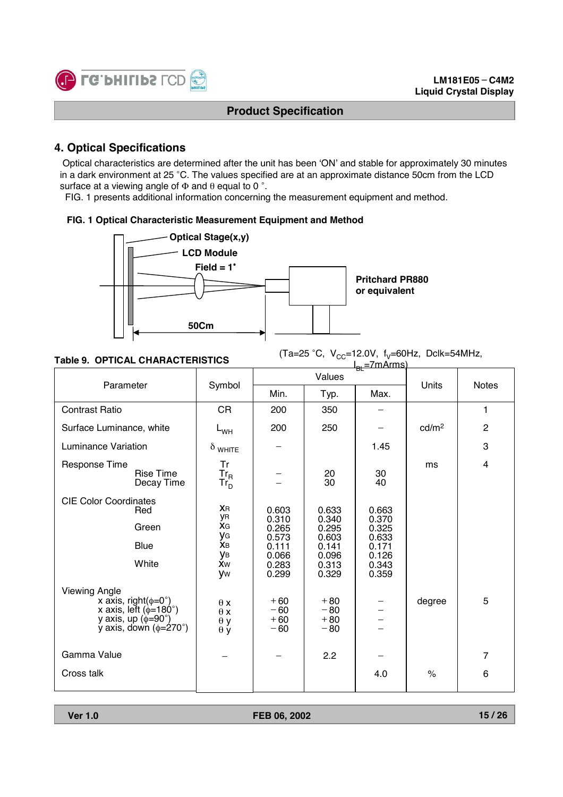

## **4. Optical Specifications**

Optical characteristics are determined after the unit has been 'ON' and stable for approximately 30 minutes in a dark environment at 25 °C. The values specified are at an approximate distance 50cm from the LCD surface at a viewing angle of  $\Phi$  and  $\theta$  equal to 0 °.

FIG. 1 presents additional information concerning the measurement equipment and method.

#### **FIG. 1 Optical Characteristic Measurement Equipment and Method**



**Table 9. OPTICAL CHARACTERISTICS** (Ta=25 °C,  $V_{CC}$ =12.0V,  $f_V$ =60Hz, Dclk=54MHz,

| TADIC 9. OF HUAL UHANAU LAISTIUS                                                                                                                                    |                                                           |                                  | l <sub>BL</sub> ≡7mArms)         |                         |                   |                         |
|---------------------------------------------------------------------------------------------------------------------------------------------------------------------|-----------------------------------------------------------|----------------------------------|----------------------------------|-------------------------|-------------------|-------------------------|
| Parameter                                                                                                                                                           | Symbol                                                    |                                  | Values                           |                         | Units             | <b>Notes</b>            |
|                                                                                                                                                                     |                                                           | Min.                             | Typ.                             | Max.                    |                   |                         |
| <b>Contrast Ratio</b>                                                                                                                                               | <b>CR</b>                                                 | 200                              | 350                              |                         |                   | 1                       |
| Surface Luminance, white                                                                                                                                            | $L_{WH}$                                                  | 200                              | 250                              |                         | cd/m <sup>2</sup> | $\overline{2}$          |
| <b>Luminance Variation</b>                                                                                                                                          | $\delta$ white                                            |                                  |                                  | 1.45                    |                   | 3                       |
| Response Time<br>Rise Time<br>Decay Time                                                                                                                            | Tr<br>$\frac{\text{Tr}_{\text{R}}}{\text{Tr}_{\text{D}}}$ |                                  | 20<br>30                         | 30<br>40                | ms                | $\overline{\mathbf{4}}$ |
| <b>CIE Color Coordinates</b><br>Red                                                                                                                                 | <b>X</b> R<br><b>y</b> R                                  | 0.603<br>0.310                   | 0.633<br>0.340                   | 0.663<br>0.370          |                   |                         |
| Green                                                                                                                                                               | <b>XG</b><br>yg                                           | 0.265<br>0.573                   | 0.295<br>0.603                   | 0.325<br>0.633          |                   |                         |
| <b>Blue</b>                                                                                                                                                         | <b>XB</b><br>ув                                           | 0.111                            | 0.141                            | 0.171                   |                   |                         |
| White                                                                                                                                                               | <b>Xw</b><br>yw                                           | 0.066<br>0.283<br>0.299          | 0.096<br>0.313<br>0.329          | 0.126<br>0.343<br>0.359 |                   |                         |
| <b>Viewing Angle</b><br>x axis, right( $\phi = 0^{\circ}$ )<br>x axis, left $(\phi=180^\circ)$<br>y axis, up $(\phi = 90^\circ)$<br>y axis, down $(\phi=270^\circ)$ | $\theta x$<br>$\theta x$<br>$\theta y$<br>$\theta$ y      | $+60$<br>$-60$<br>$+60$<br>$-60$ | $+80$<br>$-80$<br>$+80$<br>$-80$ |                         | degree            | 5                       |
| Gamma Value                                                                                                                                                         |                                                           |                                  | 2.2                              |                         |                   | 7                       |
| Cross talk                                                                                                                                                          |                                                           |                                  |                                  | 4.0                     | $\%$              | 6                       |

**Ver 1.0 FEB 06, 2002**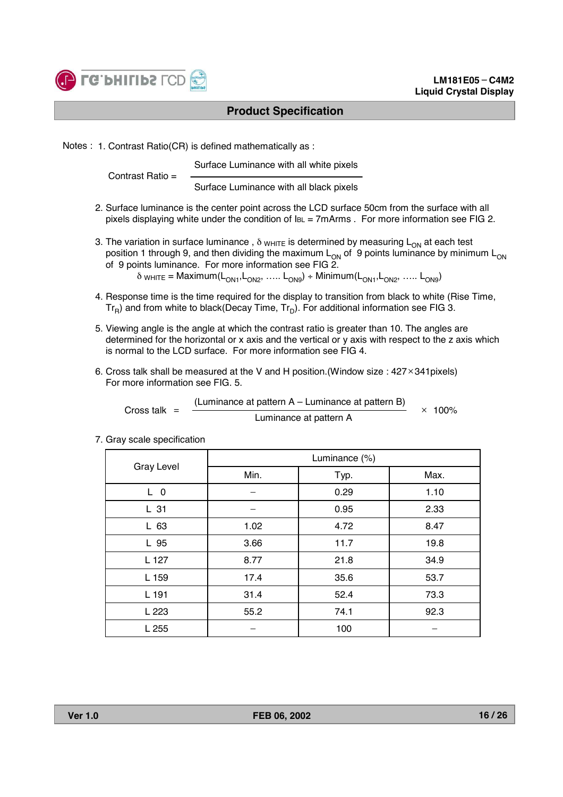

#### LM181E05-C4M2 **Liquid Crystal Display**

## **Product Specification**

Notes : 1. Contrast Ratio(CR) is defined mathematically as :

Surface Luminance with all white pixels

Contrast Ratio =

Surface Luminance with all black pixels

- 2. Surface luminance is the center point across the LCD surface 50cm from the surface with all pixels displaying white under the condition of  $I_{BL} = 7$ mArms . For more information see FIG 2.
- 3. The variation in surface luminance,  $\delta$  w<sub>HITE</sub> is determined by measuring L<sub>ON</sub> at each test position 1 through 9, and then dividing the maximum  $L_{ON}$  of 9 points luminance by minimum  $L_{ON}$ of 9 points luminance. For more information see FIG 2.

 $\delta$  white = Maximum( $L_{ON1}$ , $L_{ON2}$ , .....  $L_{ON9}$ ) ÷ Minimum( $L_{ON1}$ , $L_{ON2}$ , .....  $L_{ON9}$ )

- 4. Response time is the time required for the display to transition from black to white (Rise Time,  $Tr_B$ ) and from white to black(Decay Time,  $Tr_D$ ). For additional information see FIG 3.
- 5. Viewing angle is the angle at which the contrast ratio is greater than 10. The angles are determined for the horizontal or x axis and the vertical or y axis with respect to the z axis which is normal to the LCD surface. For more information see FIG 4.
- 6. Cross talk shall be measured at the V and H position. (Window size :  $427 \times 341$  pixels) For more information see FIG. 5.

Cross talk = <del>Luminance</del> at pattern A (Luminance at pattern A – Luminance at pattern B)  $\times$  100%

- Gray Level  $\overline{\phantom{a}}$  Min. Luminance (%) Typ. Max. L 0 | - | 0.29 | 1.10 L 31  $\qquad$   $\qquad$   $\qquad$   $\qquad$   $\qquad$  0.95  $\qquad$  2.33 L 63 1.02 4.72 8.47 L 95 | 3.66 | 11.7 | 19.8 L 127 8.77 21.8 34.9 L 159 L 191 L 223 L 255 17.4 35.6 53.7 31.4 52.4 73.3 55.2 74.1 92.3  $-$  100  $-$
- 7. Gray scale specification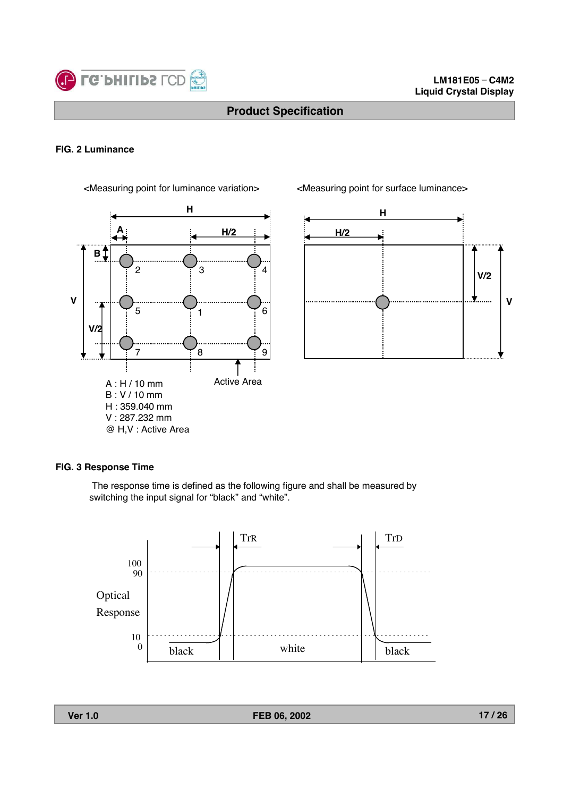

#### **FIG. 2 Luminance**



<Measuring point for luminance variation> <Measuring point for surface luminance>



#### **FIG. 3 Response Time**

The response time is defined as the following figure and shall be measured by switching the input signal for "black" and "white".



**Ver 1.0 FEB 06, 2002**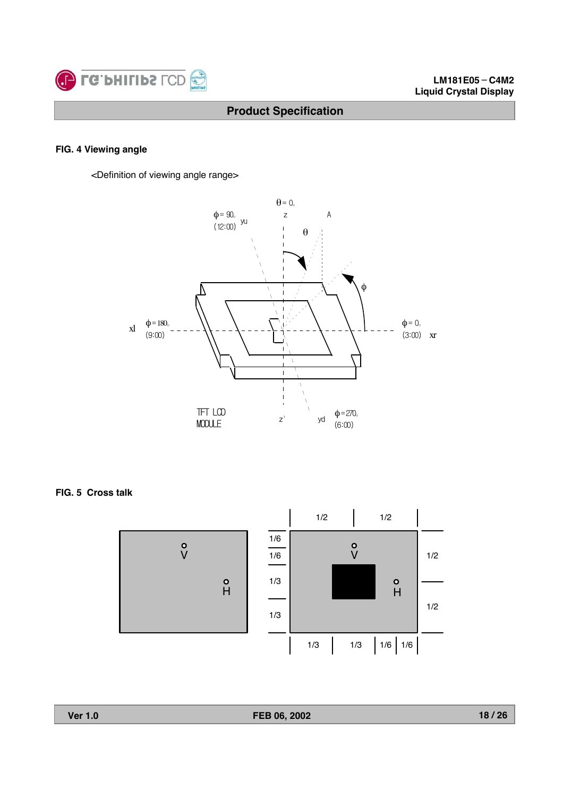

#### **FIG. 4 Viewing angle**

<Definition of viewing angle range>



**FIG. 5 Cross talk**

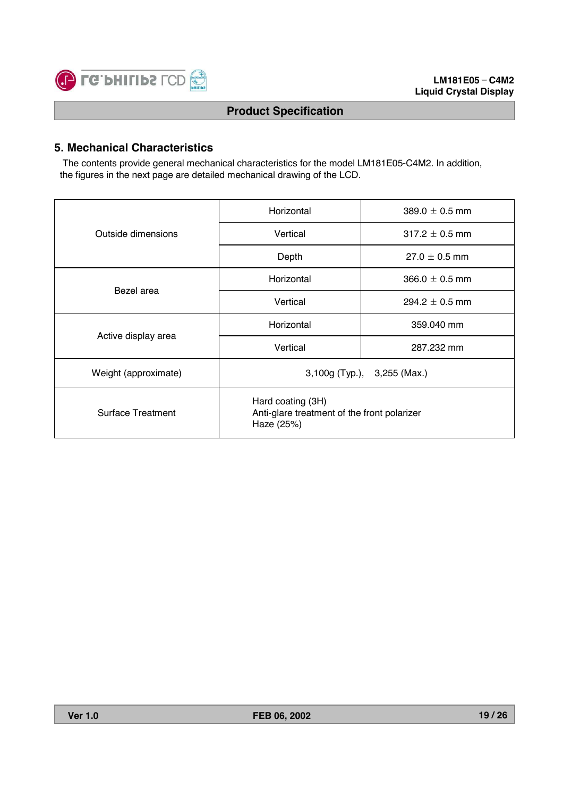

## **5. Mechanical Characteristics**

The contents provide general mechanical characteristics for the model LM181E05-C4M2. In addition, the figures in the next page are detailed mechanical drawing of the LCD.

|                          | Horizontal                                                                     | 389.0 $\pm$ 0.5 mm |  |  |  |  |
|--------------------------|--------------------------------------------------------------------------------|--------------------|--|--|--|--|
| Outside dimensions       | Vertical                                                                       | $317.2 \pm 0.5$ mm |  |  |  |  |
|                          | Depth                                                                          | $27.0 \pm 0.5$ mm  |  |  |  |  |
| Bezel area               | Horizontal                                                                     | 366.0 $\pm$ 0.5 mm |  |  |  |  |
|                          | Vertical                                                                       | $294.2 \pm 0.5$ mm |  |  |  |  |
|                          | Horizontal                                                                     | 359.040 mm         |  |  |  |  |
| Active display area      | Vertical                                                                       | 287.232 mm         |  |  |  |  |
| Weight (approximate)     | 3,100g (Typ.), 3,255 (Max.)                                                    |                    |  |  |  |  |
| <b>Surface Treatment</b> | Hard coating (3H)<br>Anti-glare treatment of the front polarizer<br>Haze (25%) |                    |  |  |  |  |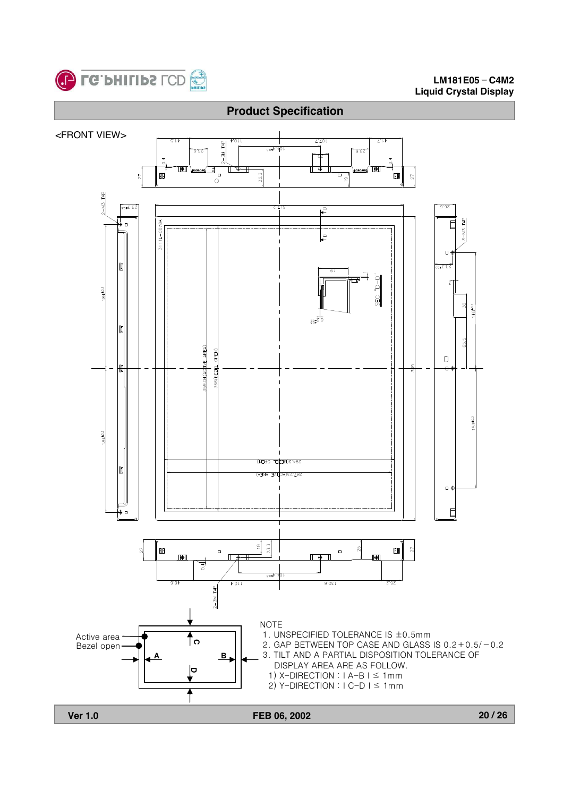

#### **LM181E05 - C4M2 Liquid Crystal Display**



**Product Specification**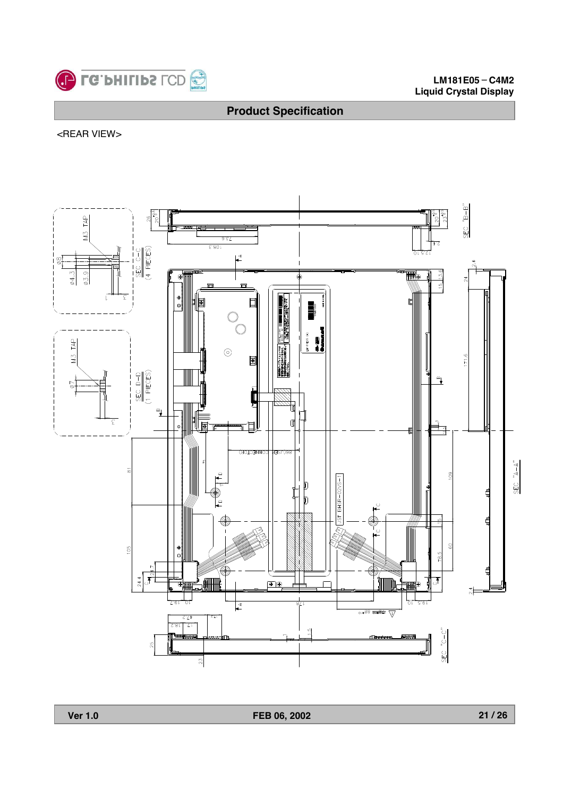

#### **LM181E05 - C4M2 Liquid Crystal Display**

## **Product Specification**

<REAR VIEW>



**Ver 1.0 FEB 06, 2002**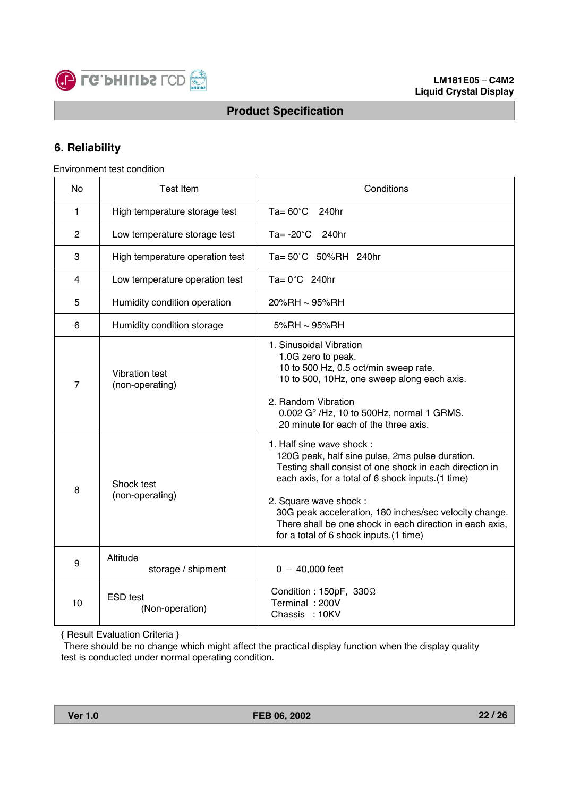

## **6. Reliability**

Environment test condition

| No             | <b>Test Item</b>                         | Conditions                                                                                                                                                                                                                                                                                                                                                                            |
|----------------|------------------------------------------|---------------------------------------------------------------------------------------------------------------------------------------------------------------------------------------------------------------------------------------------------------------------------------------------------------------------------------------------------------------------------------------|
| $\mathbf{1}$   | High temperature storage test            | Ta= $60^{\circ}$ C 240hr                                                                                                                                                                                                                                                                                                                                                              |
| $\overline{2}$ | Low temperature storage test             | Ta= $-20^{\circ}$ C<br>240hr                                                                                                                                                                                                                                                                                                                                                          |
| 3              | High temperature operation test          | Ta= 50°C 50%RH 240hr                                                                                                                                                                                                                                                                                                                                                                  |
| 4              | Low temperature operation test           | Ta= $0^{\circ}$ C 240hr                                                                                                                                                                                                                                                                                                                                                               |
| 5              | Humidity condition operation             | 20%RH ~ 95%RH                                                                                                                                                                                                                                                                                                                                                                         |
| 6              | Humidity condition storage               | 5%RH $\sim$ 95%RH                                                                                                                                                                                                                                                                                                                                                                     |
| $\overline{7}$ | <b>Vibration test</b><br>(non-operating) | 1. Sinusoidal Vibration<br>1.0G zero to peak.<br>10 to 500 Hz, 0.5 oct/min sweep rate.<br>10 to 500, 10Hz, one sweep along each axis.<br>2. Random Vibration<br>0.002 G <sup>2</sup> /Hz, 10 to 500Hz, normal 1 GRMS.<br>20 minute for each of the three axis.                                                                                                                        |
| 8              | Shock test<br>(non-operating)            | 1. Half sine wave shock:<br>120G peak, half sine pulse, 2ms pulse duration.<br>Testing shall consist of one shock in each direction in<br>each axis, for a total of 6 shock inputs.(1 time)<br>2. Square wave shock :<br>30G peak acceleration, 180 inches/sec velocity change.<br>There shall be one shock in each direction in each axis,<br>for a total of 6 shock inputs.(1 time) |
| 9              | Altitude<br>storage / shipment           | $0 - 40,000$ feet                                                                                                                                                                                                                                                                                                                                                                     |
| 10             | <b>ESD test</b><br>(Non-operation)       | Condition: 150pF, 330Ω<br>Terminal: 200V<br>Chassis: : 10KV                                                                                                                                                                                                                                                                                                                           |

{ Result Evaluation Criteria }

There should be no change which might affect the practical display function when the display quality test is conducted under normal operating condition.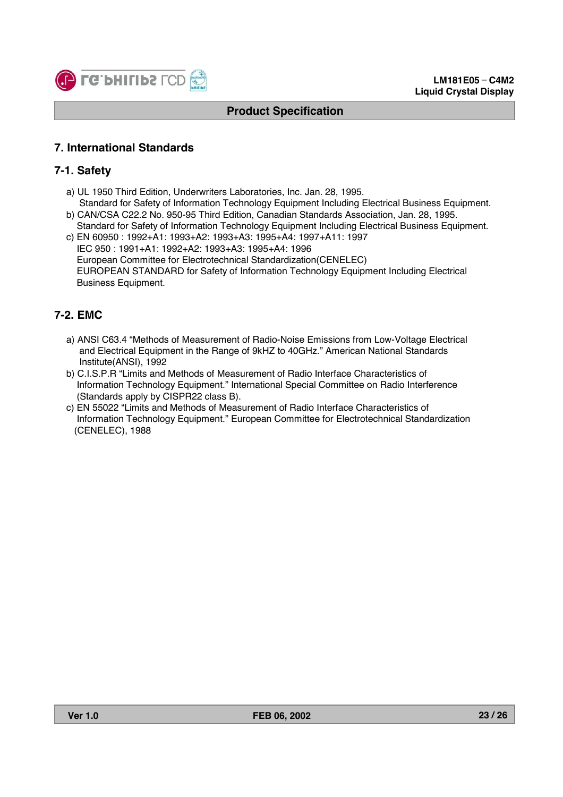

## **7. International Standards**

## **7-1. Safety**

- a) UL 1950 Third Edition, Underwriters Laboratories, Inc. Jan. 28, 1995.
- Standard for Safety of Information Technology Equipment Including Electrical Business Equipment. b) CAN/CSA C22.2 No. 950-95 Third Edition, Canadian Standards Association, Jan. 28, 1995.
- Standard for Safety of Information Technology Equipment Including Electrical Business Equipment. c) EN 60950 : 1992+A1: 1993+A2: 1993+A3: 1995+A4: 1997+A11: 1997
- IEC 950 : 1991+A1: 1992+A2: 1993+A3: 1995+A4: 1996 European Committee for Electrotechnical Standardization(CENELEC) EUROPEAN STANDARD for Safety of Information Technology Equipment Including Electrical Business Equipment.

## **7-2. EMC**

- a) ANSI C63.4 "Methods of Measurement of Radio-Noise Emissions from Low-Voltage Electrical and Electrical Equipment in the Range of 9kHZ to 40GHz." American National Standards Institute(ANSI), 1992
- b) C.I.S.P.R "Limits and Methods of Measurement of Radio Interface Characteristics of Information Technology Equipment." International Special Committee on Radio Interference (Standards apply by CISPR22 class B).
- c) EN 55022 "Limits and Methods of Measurement of Radio Interface Characteristics of Information Technology Equipment." European Committee for Electrotechnical Standardization (CENELEC), 1988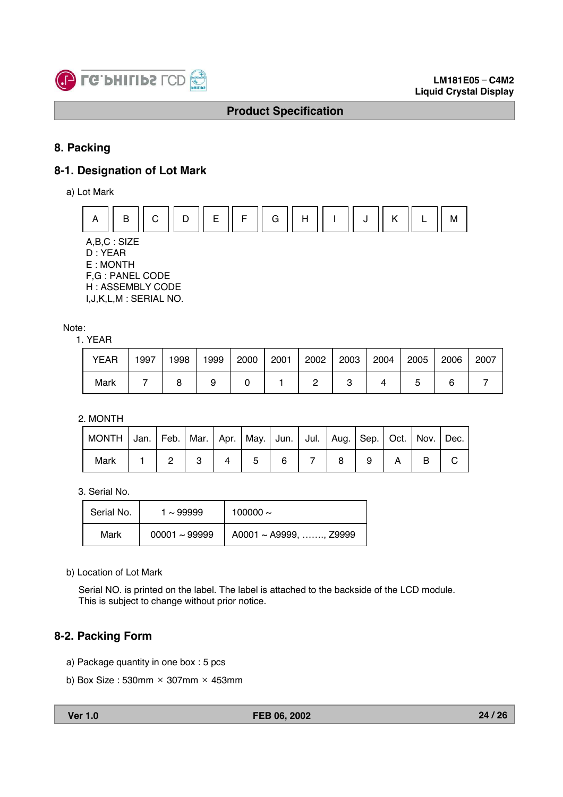

## **8. Packing**

### **8-1. Designation of Lot Mark**

a) Lot Mark



D : YEAR E : MONTH F,G : PANEL CODE H : ASSEMBLY CODE

I,J,K,L,M : SERIAL NO.

Note:

1. YEAR

| <b>YEAR</b> | 1997 | 1998 | 999 | 2000 | 2001 | 2002 | 2003 | 2004 | 2005 | 2006 | 2007 |
|-------------|------|------|-----|------|------|------|------|------|------|------|------|
| Mark        |      |      |     |      |      |      |      |      |      |      |      |

2. MONTH

| MONTH   Jan.   Feb.   Mar.   Apr.   May.   Jun.   Jul.   Aug.   Sep.   Oct.   Nov.   Dec. |  |                |                |  |  |  |  |
|-------------------------------------------------------------------------------------------|--|----------------|----------------|--|--|--|--|
| Mark                                                                                      |  | $\overline{4}$ | 5 <sup>1</sup> |  |  |  |  |

3. Serial No.

| Serial No. | 1 ~ 99999          | 100000 $\sim$          |
|------------|--------------------|------------------------|
| Mark       | $00001 \sim 99999$ | A0001 ~ A9999, , Z9999 |

b) Location of Lot Mark

Serial NO. is printed on the label. The label is attached to the backside of the LCD module. This is subject to change without prior notice.

## **8-2. Packing Form**

- a) Package quantity in one box : 5 pcs
- b) Box Size : 530mm  $\times$  307mm  $\times$  453mm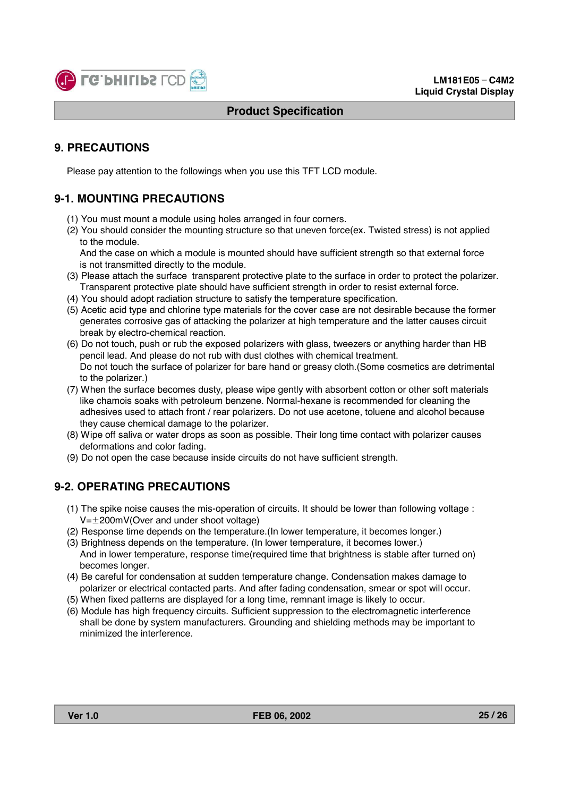

## **9. PRECAUTIONS**

Please pay attention to the followings when you use this TFT LCD module.

## **9-1. MOUNTING PRECAUTIONS**

- (1) You must mount a module using holes arranged in four corners.
- (2) You should consider the mounting structure so that uneven force(ex. Twisted stress) is not applied to the module.

And the case on which a module is mounted should have sufficient strength so that external force is not transmitted directly to the module.

- (3) Please attach the surface transparent protective plate to the surface in order to protect the polarizer. Transparent protective plate should have sufficient strength in order to resist external force.
- (4) You should adopt radiation structure to satisfy the temperature specification.
- (5) Acetic acid type and chlorine type materials for the cover case are not desirable because the former generates corrosive gas of attacking the polarizer at high temperature and the latter causes circuit break by electro-chemical reaction.
- (6) Do not touch, push or rub the exposed polarizers with glass, tweezers or anything harder than HB pencil lead. And please do not rub with dust clothes with chemical treatment. Do not touch the surface of polarizer for bare hand or greasy cloth.(Some cosmetics are detrimental to the polarizer.)
- (7) When the surface becomes dusty, please wipe gently with absorbent cotton or other soft materials like chamois soaks with petroleum benzene. Normal-hexane is recommended for cleaning the adhesives used to attach front / rear polarizers. Do not use acetone, toluene and alcohol because they cause chemical damage to the polarizer.
- (8) Wipe off saliva or water drops as soon as possible. Their long time contact with polarizer causes deformations and color fading.
- (9) Do not open the case because inside circuits do not have sufficient strength.

## **9-2. OPERATING PRECAUTIONS**

- (1) The spike noise causes the mis-operation of circuits. It should be lower than following voltage :  $V=\pm 200$ mV(Over and under shoot voltage)
- (2) Response time depends on the temperature.(In lower temperature, it becomes longer.)
- (3) Brightness depends on the temperature. (In lower temperature, it becomes lower.) And in lower temperature, response time(required time that brightness is stable after turned on) becomes longer.
- (4) Be careful for condensation at sudden temperature change. Condensation makes damage to polarizer or electrical contacted parts. And after fading condensation, smear or spot will occur.
- (5) When fixed patterns are displayed for a long time, remnant image is likely to occur.
- (6) Module has high frequency circuits. Sufficient suppression to the electromagnetic interference shall be done by system manufacturers. Grounding and shielding methods may be important to minimized the interference.